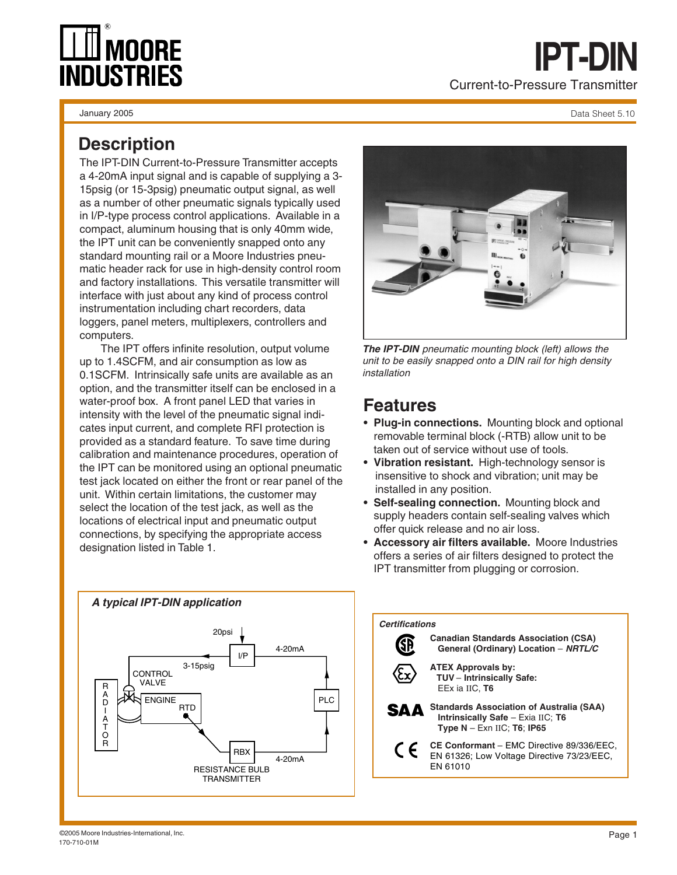# **MNNRF INDUSTRIES**

January 2005

Data Sheet 5.10

### **Description**

The IPT-DIN Current-to-Pressure Transmitter accepts a 4-20mA input signal and is capable of supplying a 3- 15psig (or 15-3psig) pneumatic output signal, as well as a number of other pneumatic signals typically used in I/P-type process control applications. Available in a compact, aluminum housing that is only 40mm wide, the IPT unit can be conveniently snapped onto any standard mounting rail or a Moore Industries pneumatic header rack for use in high-density control room and factory installations. This versatile transmitter will interface with just about any kind of process control instrumentation including chart recorders, data loggers, panel meters, multiplexers, controllers and computers.

The IPT offers infinite resolution, output volume up to 1.4SCFM, and air consumption as low as 0.1SCFM. Intrinsically safe units are available as an option, and the transmitter itself can be enclosed in a water-proof box. A front panel LED that varies in intensity with the level of the pneumatic signal indicates input current, and complete RFI protection is provided as a standard feature. To save time during calibration and maintenance procedures, operation of the IPT can be monitored using an optional pneumatic test jack located on either the front or rear panel of the unit. Within certain limitations, the customer may select the location of the test jack, as well as the locations of electrical input and pneumatic output connections, by specifying the appropriate access designation listed in Table 1.



**The IPT-DIN** pneumatic mounting block (left) allows the unit to be easily snapped onto a DIN rail for high density installation

### **Features**

- **Plug-in connections.** Mounting block and optional removable terminal block (-RTB) allow unit to be taken out of service without use of tools.
- **Vibration resistant.** High-technology sensor is insensitive to shock and vibration; unit may be installed in any position.
- **Self-sealing connection.** Mounting block and supply headers contain self-sealing valves which offer quick release and no air loss.
- **Accessory air filters available.** Moore Industries offers a series of air filters designed to protect the IPT transmitter from plugging or corrosion.



#### **Certifications**

**Canadian Standards Association (CSA)** SĐ  **General (Ordinary) Location** – **NRTL/C ATEX Approvals by: TUV** – **Intrinsically Safe:** EEx ia IIC, **T6 Standards Association of Australia (SAA)** SΔΔ  **Intrinsically Safe** – Exia IIC; **T6 Type N** – Exn IIC; **T6**; **IP65 CE Conformant** – EMC Directive 89/336/EEC, C E EN 61326; Low Voltage Directive 73/23/EEC, EN 61010

©2005 Moore Industries-International, Inc. 170-710-01M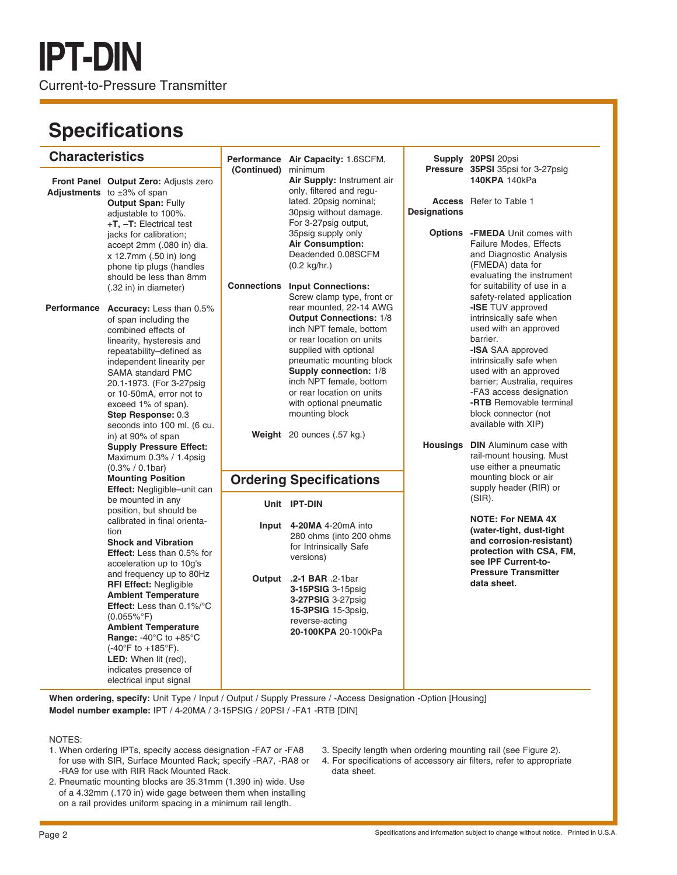## **Specifications**

| <b>Characteristics</b> |                                                                                                                                                                                                                                                                                                                                                                                                                                                                                          |                     | Performance Air Capacity: 1.6SCFM,                                                                                                                                                                                                                                                                                                                                 |                     | Supply 20PSI 20psi                                                                                                                                                                                                                                                                                                            |
|------------------------|------------------------------------------------------------------------------------------------------------------------------------------------------------------------------------------------------------------------------------------------------------------------------------------------------------------------------------------------------------------------------------------------------------------------------------------------------------------------------------------|---------------------|--------------------------------------------------------------------------------------------------------------------------------------------------------------------------------------------------------------------------------------------------------------------------------------------------------------------------------------------------------------------|---------------------|-------------------------------------------------------------------------------------------------------------------------------------------------------------------------------------------------------------------------------------------------------------------------------------------------------------------------------|
|                        | Front Panel Output Zero: Adjusts zero<br><b>Adjustments</b> to $\pm 3\%$ of span<br><b>Output Span: Fully</b><br>adjustable to 100%.<br>$+T$ , $-T$ : Electrical test<br>jacks for calibration;<br>accept 2mm (.080 in) dia.<br>x 12.7mm (.50 in) long<br>phone tip plugs (handles<br>should be less than 8mm<br>(.32 in) in diameter)                                                                                                                                                   | (Continued) minimum | Air Supply: Instrument air<br>only, filtered and regu-<br>lated. 20psig nominal;<br>30psig without damage.<br>For 3-27psig output,<br>35psig supply only<br><b>Air Consumption:</b><br>Deadended 0.08SCFM<br>$(0.2 \text{ kg/hr.})$<br><b>Connections Input Connections:</b>                                                                                       | <b>Designations</b> | Pressure 35PSI 35psi for 3-27psig<br>140KPA 140kPa<br><b>Access</b> Refer to Table 1<br><b>Options</b> - FMEDA Unit comes with<br>Failure Modes, Effects<br>and Diagnostic Analysis<br>(FMEDA) data for<br>evaluating the instrument<br>for suitability of use in a                                                           |
| <b>Performance</b>     | <b>Accuracy:</b> Less than 0.5%<br>of span including the<br>combined effects of<br>linearity, hysteresis and<br>repeatability-defined as<br>independent linearity per<br><b>SAMA</b> standard PMC<br>20.1-1973. (For 3-27psig)<br>or 10-50mA, error not to<br>exceed 1% of span).<br>Step Response: 0.3<br>seconds into 100 ml. (6 cu.<br>in) at 90% of span                                                                                                                             |                     | Screw clamp type, front or<br>rear mounted, 22-14 AWG<br><b>Output Connections: 1/8</b><br>inch NPT female, bottom<br>or rear location on units<br>supplied with optional<br>pneumatic mounting block<br>Supply connection: 1/8<br>inch NPT female, bottom<br>or rear location on units<br>with optional pneumatic<br>mounting block<br>Weight 20 ounces (.57 kg.) |                     | safety-related application<br>-ISE TUV approved<br>intrinsically safe when<br>used with an approved<br>barrier.<br>-ISA SAA approved<br>intrinsically safe when<br>used with an approved<br>barrier; Australia, requires<br>-FA3 access designation<br>-RTB Removable terminal<br>block connector (not<br>available with XIP) |
|                        | <b>Supply Pressure Effect:</b><br>Maximum 0.3% / 1.4psig<br>$(0.3\% / 0.1 \text{bar})$<br><b>Mounting Position</b>                                                                                                                                                                                                                                                                                                                                                                       |                     | <b>Ordering Specifications</b>                                                                                                                                                                                                                                                                                                                                     | Housings            | <b>DIN</b> Aluminum case with<br>rail-mount housing. Must<br>use either a pneumatic<br>mounting block or air                                                                                                                                                                                                                  |
|                        | Effect: Negligible-unit can<br>be mounted in any                                                                                                                                                                                                                                                                                                                                                                                                                                         |                     | Unit IPT-DIN                                                                                                                                                                                                                                                                                                                                                       |                     | supply header (RIR) or<br>$(SIR)$ .                                                                                                                                                                                                                                                                                           |
|                        | position, but should be<br>calibrated in final orienta-<br>tion<br><b>Shock and Vibration</b><br><b>Effect:</b> Less than 0.5% for<br>acceleration up to 10g's<br>and frequency up to 80Hz<br><b>RFI Effect: Negligible</b><br><b>Ambient Temperature</b><br>Effect: Less than 0.1%/°C<br>$(0.055\%$ °F)<br><b>Ambient Temperature</b><br>Range: -40°C to +85°C<br>$(-40^{\circ}F to +185^{\circ}F).$<br><b>LED:</b> When lit (red),<br>indicates presence of<br>electrical input signal | Output              | Input 4-20MA 4-20mA into<br>280 ohms (into 200 ohms)<br>for Intrinsically Safe<br>versions)<br>.2-1 BAR .2-1 bar<br><b>3-15PSIG</b> 3-15psig<br><b>3-27PSIG</b> 3-27psig<br>15-3PSIG 15-3psig,<br>reverse-acting<br>20-100KPA 20-100kPa                                                                                                                            |                     | <b>NOTE: For NEMA 4X</b><br>(water-tight, dust-tight)<br>and corrosion-resistant)<br>protection with CSA, FM,<br>see IPF Current-to-<br><b>Pressure Transmitter</b><br>data sheet.                                                                                                                                            |

**When ordering, specify:** Unit Type / Input / Output / Supply Pressure / -Access Designation -Option [Housing] **Model number example:** IPT / 4-20MA / 3-15PSIG / 20PSI / -FA1 -RTB [DIN]

### NOTES:

- 1. When ordering IPTs, specify access designation -FA7 or -FA8 for use with SIR, Surface Mounted Rack; specify -RA7, -RA8 or -RA9 for use with RIR Rack Mounted Rack.
- 2. Pneumatic mounting blocks are 35.31mm (1.390 in) wide. Use of a 4.32mm (.170 in) wide gage between them when installing on a rail provides uniform spacing in a minimum rail length.
- 3. Specify length when ordering mounting rail (see Figure 2).
- 4. For specifications of accessory air filters, refer to appropriate data sheet.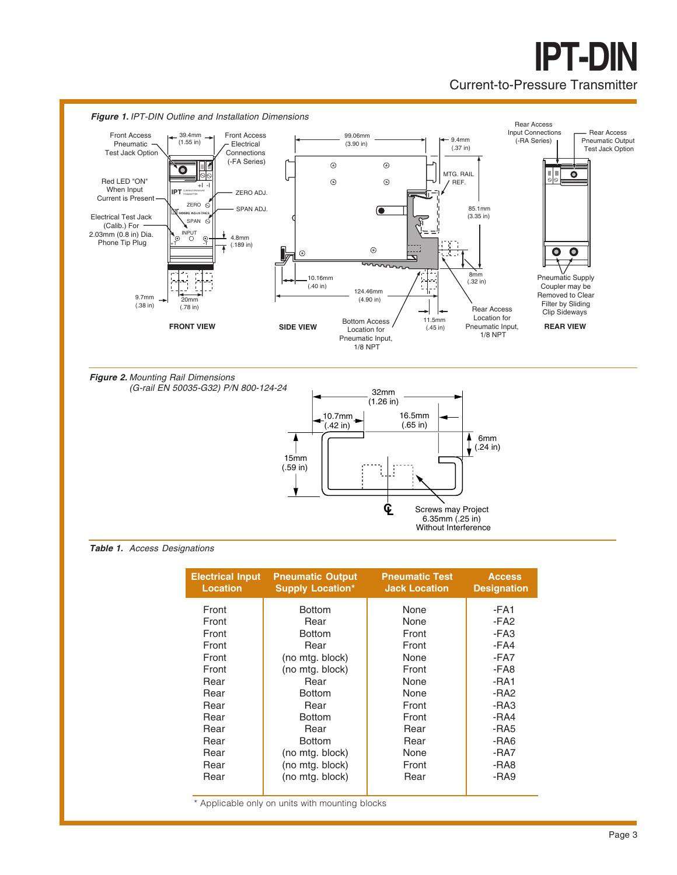## **IPT-DIN** Current-to-Pressure Transmitter



**Table 1.** Access Designations

| <b>Electrical Input</b><br><b>Location</b> | <b>Pneumatic Output</b><br><b>Supply Location*</b> | <b>Pneumatic Test</b><br><b>Jack Location</b> | <b>Access</b><br><b>Designation</b> |
|--------------------------------------------|----------------------------------------------------|-----------------------------------------------|-------------------------------------|
| Front                                      | <b>Bottom</b>                                      | None                                          | -FA1                                |
| Front                                      | Rear                                               | None                                          | -FA <sub>2</sub>                    |
| Front                                      | <b>Bottom</b>                                      | Front                                         | -FA3                                |
| Front                                      | Rear                                               | Front                                         | -FA4                                |
| Front                                      | (no mtg. block)                                    | None                                          | -FA7                                |
| Front                                      | (no mtg. block)                                    | Front                                         | -FA8                                |
| Rear                                       | Rear                                               | None                                          | -RA1                                |
| Rear                                       | <b>Bottom</b>                                      | None                                          | -RA <sub>2</sub>                    |
| Rear                                       | Rear                                               | Front                                         | $-RA3$                              |
| Rear                                       | <b>Bottom</b>                                      | Front                                         | $-RA4$                              |
| Rear                                       | Rear                                               | Rear                                          | -RA5                                |
| Rear                                       | <b>Bottom</b>                                      | Rear                                          | -RA6                                |
| Rear                                       | (no mtg. block)                                    | None                                          | -RA7                                |
| Rear                                       | (no mtg. block)                                    | Front                                         | -RA8                                |
| Rear                                       | (no mtg. block)                                    | Rear                                          | -RA9                                |

\* Applicable only on units with mounting blocks